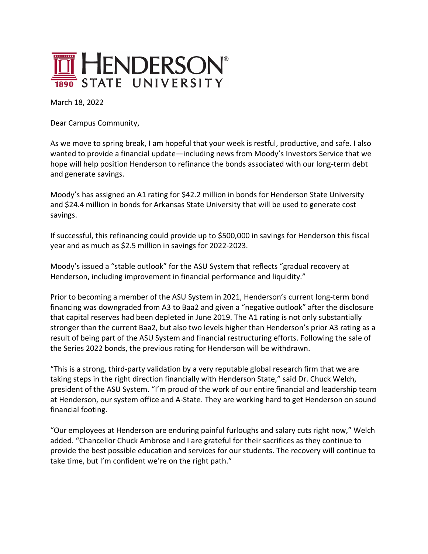

March 18, 2022

Dear Campus Community,

As we move to spring break, I am hopeful that your week is restful, productive, and safe. I also wanted to provide a financial update—including news from Moody's Investors Service that we hope will help position Henderson to refinance the bonds associated with our long-term debt and generate savings.

Moody's has assigned an A1 rating for \$42.2 million in bonds for Henderson State University and \$24.4 million in bonds for Arkansas State University that will be used to generate cost savings.

If successful, this refinancing could provide up to \$500,000 in savings for Henderson this fiscal year and as much as \$2.5 million in savings for 2022-2023.

Moody's issued a "stable outlook" for the ASU System that reflects "gradual recovery at Henderson, including improvement in financial performance and liquidity."

Prior to becoming a member of the ASU System in 2021, Henderson's current long-term bond financing was downgraded from A3 to Baa2 and given a "negative outlook" after the disclosure that capital reserves had been depleted in June 2019. The A1 rating is not only substantially stronger than the current Baa2, but also two levels higher than Henderson's prior A3 rating as a result of being part of the ASU System and financial restructuring efforts. Following the sale of the Series 2022 bonds, the previous rating for Henderson will be withdrawn.

"This is a strong, third-party validation by a very reputable global research firm that we are taking steps in the right direction financially with Henderson State," said Dr. Chuck Welch, president of the ASU System. "I'm proud of the work of our entire financial and leadership team at Henderson, our system office and A-State. They are working hard to get Henderson on sound financial footing.

"Our employees at Henderson are enduring painful furloughs and salary cuts right now," Welch added. "Chancellor Chuck Ambrose and I are grateful for their sacrifices as they continue to provide the best possible education and services for our students. The recovery will continue to take time, but I'm confident we're on the right path."